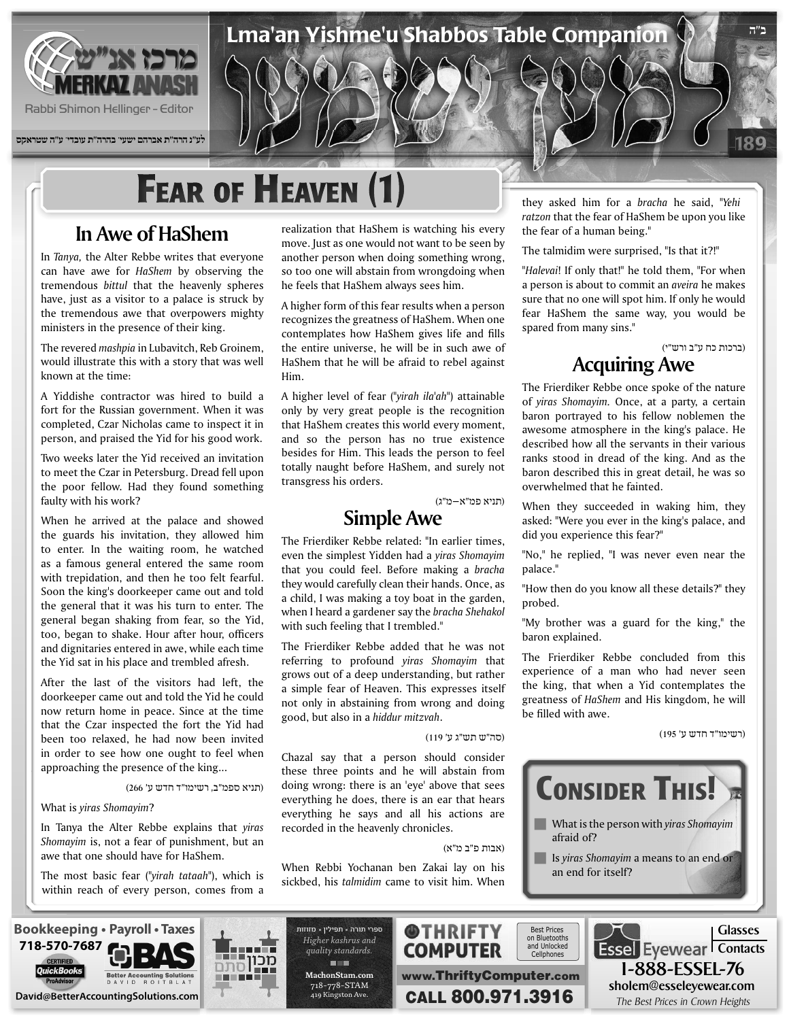

**לע"נ הרה"ת אברהם ישעי' בהרה"ת עובדי' ע"ה שטראקס**

# **FEAR OF HEAVEN (1)**

#### **In Awe of HaShem**

In *Tanya*, the Alter Rebbe writes that everyone can have awe for *HaShem* by observing the tremendous *bittul* that the heavenly spheres have, just as a visitor to a palace is struck by the tremendous awe that overpowers mighty ministers in the presence of their king.

The revered *mashpia* in Lubavitch, Reb Groinem, would illustrate this with a story that was well known at the time:

A Yiddishe contractor was hired to build a fort for the Russian government. When it was completed, Czar Nicholas came to inspect it in person, and praised the Yid for his good work.

Two weeks later the Yid received an invitation to meet the Czar in Petersburg. Dread fell upon the poor fellow. Had they found something faulty with his work?

When he arrived at the palace and showed the guards his invitation, they allowed him to enter. In the waiting room, he watched as a famous general entered the same room with trepidation, and then he too felt fearful. Soon the king's doorkeeper came out and told the general that it was his turn to enter. The general began shaking from fear, so the Yid, too, began to shake. Hour after hour, officers and dignitaries entered in awe, while each time the Yid sat in his place and trembled afresh.

After the last of the visitors had left, the doorkeeper came out and told the Yid he could now return home in peace. Since at the time that the Czar inspected the fort the Yid had been too relaxed, he had now been invited in order to see how one ought to feel when approaching the presence of the king...

(תניא ספמ"ב, רשימו"ד חדש ע' 266)

**What is yiras Shomayim?** 

In Tanya the Alter Rebbe explains that yiras Shomayim is, not a fear of punishment, but an awe that one should have for HaShem.

The most basic fear ("yirah tataah"), which is within reach of every person, comes from a

realization that HaShem is watching his every move. Just as one would not want to be seen by another person when doing something wrong, so too one will abstain from wrongdoing when he feels that HaShem always sees him.

Lma'an Yishme'u Shabbos Table Companion

A higher form of this fear results when a person recognizes the greatness of HaShem. When one contemplates how HaShem gives life and fills the entire universe, he will be in such awe of HaShem that he will be afraid to rebel against Him.

A higher level of fear ("yirah ila'ah") attainable only by very great people is the recognition that HaShem creates this world every moment, and so the person has no true existence besides for Him. This leads the person to feel totally naught before HaShem, and surely not transgress his orders.

(תניא פמ"א–מ"ג)

#### **Simple** Awe

The Frierdiker Rebbe related: "In earlier times, *even the simplest Yidden had a yiras Shomayim* that you could feel. Before making a bracha they would carefully clean their hands. Once, as a child, I was making a toy boat in the garden, when I heard a gardener say the *bracha Shehakol* with such feeling that I trembled."

The Frierdiker Rebbe added that he was not referring to profound *yiras* Shomayim that grows out of a deep understanding, but rather a simple fear of Heaven. This expresses itself not only in abstaining from wrong and doing good, but also in a hiddur mitzvah.

(סה"ש תש"ג ע' 119)

Chazal say that a person should consider these three points and he will abstain from doing wrong: there is an 'eye' above that sees everything he does, there is an ear that hears everything he says and all his actions are recorded in the heavenly chronicles.

(אבות פ"ב מ"א)

When Rebbi Yochanan ben Zakai lay on his sickbed, his talmidim came to visit him. When

they asked him for a *bracha* he said, "Yehi ratzon that the fear of HaShem be upon you like the fear of a human being."

The talmidim were surprised, "Is that it?!"

"Halevai! If only that!" he told them, "For when a person is about to commit an *aveira* he makes sure that no one will spot him. If only he would fear HaShem the same way, you would be spared from many sins."

> (ברכות כח ע"ב ורש"י) **Acquiring** Awe

189

**ב"ה**

The Frierdiker Rebbe once spoke of the nature of *yiras Shomayim*. Once, at a party, a certain baron portrayed to his fellow noblemen the awesome atmosphere in the king's palace. He described how all the servants in their various ranks stood in dread of the king. And as the baron described this in great detail, he was so overwhelmed that he fainted.

When they succeeded in waking him, they asked: "Were you ever in the king's palace, and did you experience this fear?"

"No," he replied, "I was never even near the ".palace

"How then do you know all these details?" they .probed

"My brother was a guard for the king," the baron explained.

The Frierdiker Rebbe concluded from this experience of a man who had never seen the king, that when a Yid contemplates the greatness of *HaShem* and *His kingdom*, he will be filled with awe.

(רשימו"ד חדש ע' 195)